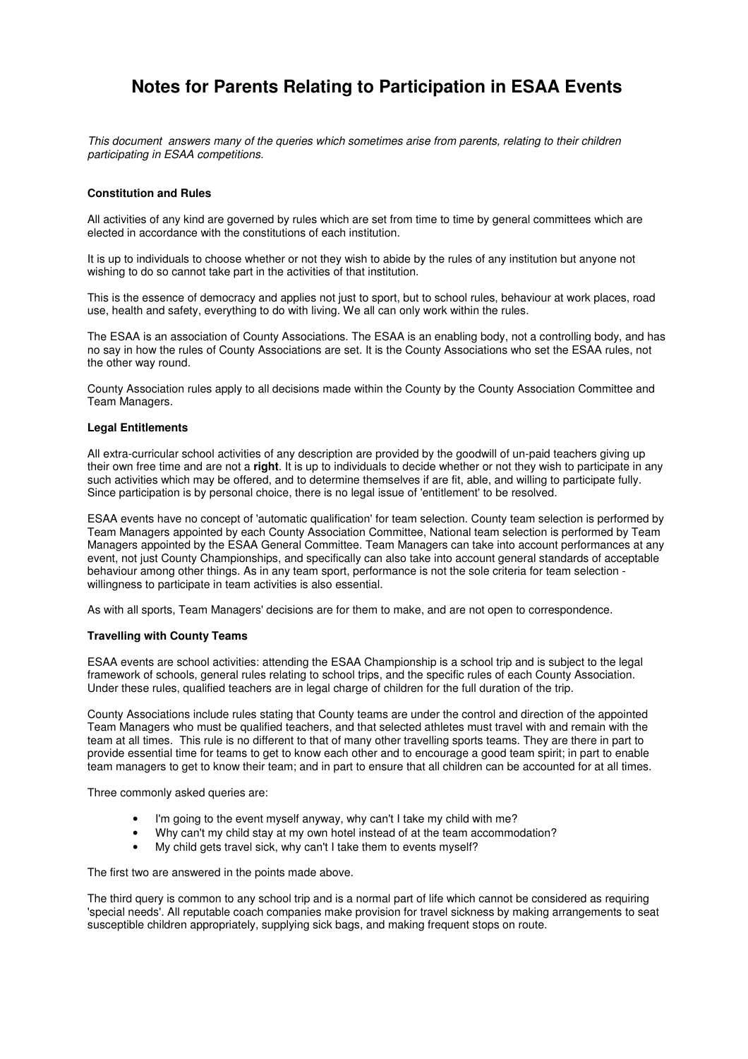# **Notes for Parents Relating to Participation in ESAA Events**

This document answers many of the queries which sometimes arise from parents, relating to their children participating in ESAA competitions.

### **Constitution and Rules**

All activities of any kind are governed by rules which are set from time to time by general committees which are elected in accordance with the constitutions of each institution.

It is up to individuals to choose whether or not they wish to abide by the rules of any institution but anyone not wishing to do so cannot take part in the activities of that institution.

This is the essence of democracy and applies not just to sport, but to school rules, behaviour at work places, road use, health and safety, everything to do with living. We all can only work within the rules.

The ESAA is an association of County Associations. The ESAA is an enabling body, not a controlling body, and has no say in how the rules of County Associations are set. It is the County Associations who set the ESAA rules, not the other way round.

County Association rules apply to all decisions made within the County by the County Association Committee and Team Managers.

#### **Legal Entitlements**

All extra-curricular school activities of any description are provided by the goodwill of un-paid teachers giving up their own free time and are not a **right**. It is up to individuals to decide whether or not they wish to participate in any such activities which may be offered, and to determine themselves if are fit, able, and willing to participate fully. Since participation is by personal choice, there is no legal issue of 'entitlement' to be resolved.

ESAA events have no concept of 'automatic qualification' for team selection. County team selection is performed by Team Managers appointed by each County Association Committee, National team selection is performed by Team Managers appointed by the ESAA General Committee. Team Managers can take into account performances at any event, not just County Championships, and specifically can also take into account general standards of acceptable behaviour among other things. As in any team sport, performance is not the sole criteria for team selection willingness to participate in team activities is also essential.

As with all sports, Team Managers' decisions are for them to make, and are not open to correspondence.

#### **Travelling with County Teams**

ESAA events are school activities: attending the ESAA Championship is a school trip and is subject to the legal framework of schools, general rules relating to school trips, and the specific rules of each County Association. Under these rules, qualified teachers are in legal charge of children for the full duration of the trip.

County Associations include rules stating that County teams are under the control and direction of the appointed Team Managers who must be qualified teachers, and that selected athletes must travel with and remain with the team at all times. This rule is no different to that of many other travelling sports teams. They are there in part to provide essential time for teams to get to know each other and to encourage a good team spirit; in part to enable team managers to get to know their team; and in part to ensure that all children can be accounted for at all times.

Three commonly asked queries are:

- I'm going to the event myself anyway, why can't I take my child with me?
- Why can't my child stay at my own hotel instead of at the team accommodation?
- My child gets travel sick, why can't I take them to events myself?

The first two are answered in the points made above.

The third query is common to any school trip and is a normal part of life which cannot be considered as requiring 'special needs'. All reputable coach companies make provision for travel sickness by making arrangements to seat susceptible children appropriately, supplying sick bags, and making frequent stops on route.